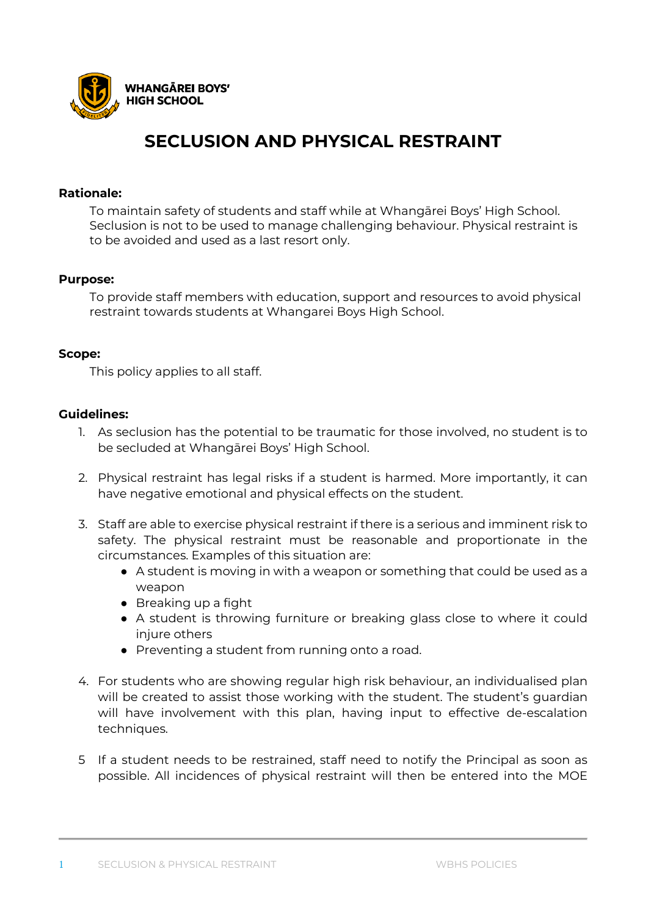

# **SECLUSION AND PHYSICAL RESTRAINT**

### **Rationale:**

To maintain safety of students and staff while at Whangārei Boys' High School. Seclusion is not to be used to manage challenging behaviour. Physical restraint is to be avoided and used as a last resort only.

# **Purpose:**

To provide staff members with education, support and resources to avoid physical restraint towards students at Whangarei Boys High School.

#### **Scope:**

This policy applies to all staff.

# **Guidelines:**

- 1. As seclusion has the potential to be traumatic for those involved, no student is to be secluded at Whangārei Boys' High School.
- 2. Physical restraint has legal risks if a student is harmed. More importantly, it can have negative emotional and physical effects on the student.
- 3. Staff are able to exercise physical restraint if there is a serious and imminent risk to safety. The physical restraint must be reasonable and proportionate in the circumstances. Examples of this situation are:
	- A student is moving in with a weapon or something that could be used as a weapon
	- Breaking up a fight
	- A student is throwing furniture or breaking glass close to where it could injure others
	- Preventing a student from running onto a road.
- 4. For students who are showing regular high risk behaviour, an individualised plan will be created to assist those working with the student. The student's guardian will have involvement with this plan, having input to effective de-escalation techniques.
- 5 If a student needs to be restrained, staff need to notify the Principal as soon as possible. All incidences of physical restraint will then be entered into the MOE